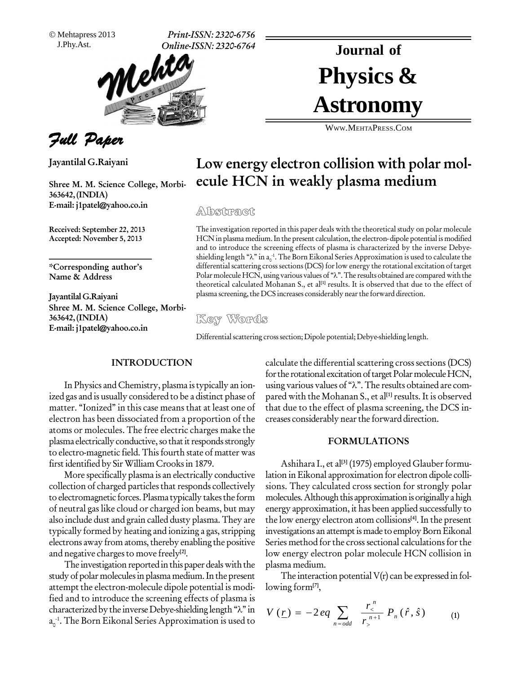Mehtapress 2013

J.Phy.Ast. **Print-ISSN: 2320-6756 Online-ISSN: 2320-6764**



Full Paper

**Jayantilal G.Raiyani**

**Shree M. M. Science College, Morbi- 363642,(INDIA) E-mail: [j1patel@yahoo.co.in](mailto:j1patel@yahoo.co.in)**

**Received: September 22, 2013 Accepted: November 5, 2013**

**\*Corresponding authorís Name & Address**

**Jayantilal G.Raiyani Shree M. M. Science College, Morbi- 363642,(INDIA) E-mail: [j1patel@yahoo.co.in](mailto:j1patel@yahoo.co.in)**

# Physics & **Journal of Astronomy**

WWW.M[EHTA](http://WWW.MEHTAPRESS.COM)PRESS.COM

# **Low energy electron collision with polar mol ecule HCN in weakly plasma medium**

### Abstract

The investigation reported in this paper deals with the theoretical study on polar molecule HCN in plasma medium. In the present calculation, the electron- dipole potential is modified and to introduce the screening effects of plasma is characterized by the inverse Debye- HCN in plasma medium. In the p<br>and to introduce the screening<br>shielding length " $\lambda$ " in a<sub>0</sub>-1. The B shielding length " $\lambda$ " in a<sub>0</sub><sup>-1</sup>. The Born Eikonal Series Approximation is used to calculate the differential scattering cross sections (DCS) for low energy the rotational excitation of target Polar molecule HCN, using differential scattering cross sections (DCS) for low energy the rotational excitation of target Polar molecule HCN, using various values of " $\lambda$ ". The results obtained are compared with the theoretical calculated Mohanan S., et al **[1]** results. It is observed that due to the effect of plasma screening, the DCS increases considerably near the forward direction.

Differential scattering cross section; Dipole potential; Debye-shielding length.

#### **INTRODUCTION**

In Physics and Chemistry, plasma istypically an ion ized gas and is usually considered to be a distinct phase of matter. "Ionized" in this case means that at least one of electron has been dissociated from a proportion of the atoms or molecules. The free electric charges make the plasma electrically conductive, so that it responds strongly to electro-magnetic field. This fourth state of matter was first identified by Sir William Crooksin 1879.

More specifically plasma is an electrically conductive collection of charged particles that responds collectively to electromagnetic forces. Plasma typically takesthe form of neutral gas like cloud or charged ion beams, but may also include dust and grain called dusty plasma.They are typically formed by heating and ionizing a gas, stripping electrons away from atoms, thereby enabling the positive and negative charges to move freely<sup>[2]</sup>.

The investigation reported in this paper deals with the study of polar molecules in plasma medium. In the present attempt the electron-molecule dipole potential is modi-<br>fied and to introduce the screening effects of plasma is<br>characterized by the inverse Debye-shielding length " $\lambda$ " in  $V(r)$ fied and to introduce the screening effects of plasma is  $a_0^{-1}$ . The Born Eikonal Series Approximation is used to

calculate the differential scattering cross sections (DCS) for the rotational excitation of target Polar molecule HCN, using various values of " $\lambda$ ". The results obtained are compared with the Mohanan S., et al **[1]**results. It is observed that due to the effect of plasma screening, the DCS in creases considerably nearthe forward direction.

#### **FORMULATIONS**

Ashihara I., et al<sup>[3]</sup> (1975) employed Glauber formulation inEikonal approximation for electron dipole colli sions. They calculated cross section for strongly polar molecules. Although this approximation is originally a high energy approximation, it has been applied successfully to the low energy electron atom collisions **[4]**. In the present investigations an attempt is made to employ Born Eikonal Series method for the cross sectional calculations for the low energy electron polar molecule HCN collision in plasma medium.

The interaction potential  $V(r)$  can be expressed in fol-<br>ing form<sup>[7]</sup>, lowing form**[7]**, Form<sup>[7]</sup>,<br>  $\sum_{n=1}^{\infty} \frac{r^n}{n}$ 

lowing form<sup>[7]</sup>,  
\n
$$
V(\underline{r}) = -2eq \sum_{n=odd} \frac{r^n}{r^{n+1}} P_n(\hat{r}, \hat{s})
$$
\n(1)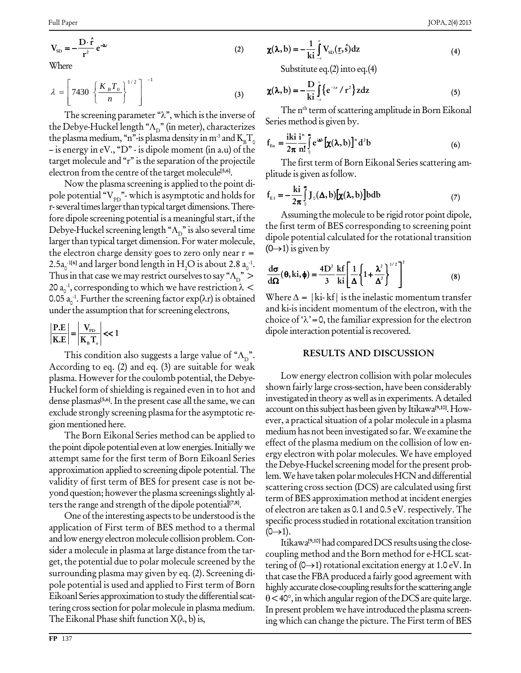$$
V_{SD} = -\frac{D \cdot \hat{r}}{r^2} e^{-\lambda r}
$$
 (2)

Where

$$
\lambda = \left[ 7430 \left\{ \frac{K_B T_0}{n} \right\}^{1/2} \right]^{-1}
$$
 (3)

The screening parameter " $\lambda$ ", which is the inverse of the Debye-Huckel length " $\Lambda_{\rm p}$ " (in meter), characterizes the plasma medium, "n"-is plasma density in m<sup>-3</sup> and  $K_{\rm B}T_{\rm o}$  $-$  is energy in eV., "D" - is dipole moment (in a.u) of the target molecule and "r" is the separation of the projectile electron from the centre of the target molecule<sup>[5,6]</sup>.

Now the plasma screening is applied to the point dipole potential " $V_{\rm pp}$ "- which is asymptotic and holds for r-several times larger than typical target dimensions. Therefore dipole screening potential is a meaningful start, if the Debye-Huckel screening length " $\Lambda_{\rm D}$ " is also several time larger than typical target dimension. For water molecule, the electron charge density goes to zero only near  $r =$ 2.5a<sup>-1[6]</sup> and larger bond length in H<sub>2</sub>O is about 2.8 a<sup>-1</sup>. Thus in that case we may restrict ourselves to say " $\Lambda_{\rm D}$ " > 20  $a_0^{-1}$ , corresponding to which we have restriction  $\lambda$  < 0.05  $a_0^{-1}$ . Further the screening factor  $exp(\lambda r)$  is obtained under the assumption that for screening electrons,

$$
\left|\frac{\text{P.E}}{\text{K.E}}\right| = \left|\frac{\text{V}_{\text{pD}}}{\text{K}_{\text{B}}\text{T}_{\text{o}}}\right| \ll 1
$$

This condition also suggests a large value of " $\Lambda_{\rm p}$ ". According to eq.  $(2)$  and eq.  $(3)$  are suitable for weak plasma. However for the coulomb potential, the Debye-Huckel form of shielding is regained even in to hot and dense plasmas<sup>[5,6]</sup>. In the present case all the same, we can exclude strongly screening plasma for the asymptotic region mentioned here.

The Born Eikonal Series method can be applied to the point dipole potential even at low energies. Initially we attempt same for the first term of Born Eikoanl Series approximation applied to screening dipole potential. The validity of first term of BES for present case is not beyond question; however the plasma screenings slightly alters the range and strength of the dipole potential<sup>[7,8]</sup>.

One of the interesting aspects to be understood is the application of First term of BES method to a thermal and low energy electron molecule collision problem. Consider a molecule in plasma at large distance from the target, the potential due to polar molecule screened by the surrounding plasma may given by eq. (2). Screening dipole potential is used and applied to First term of Born Eikoanl Series approximation to study the differential scattering cross section for polar molecule in plasma medium. The Eikonal Phase shift function  $X(\lambda, b)$  is,

$$
\chi(\lambda, b) = -\frac{1}{ki} \int_{-\infty}^{\infty} V_{SD}(\underline{r}, \hat{s}) dz
$$
 (4)

Substitute eq. $(2)$  into eq. $(4)$ 

$$
\chi(\lambda, b) = -\frac{D}{ki} \int_{-\infty}^{\infty} \left\{ e^{-\lambda r} / r^2 \right\} z dz
$$
 (5)

The n<sup>th</sup> term of scattering amplitude in Born Eikonal Series method is given by.

$$
f_{E_n} = \frac{iki}{2\pi} \frac{i^n}{n!} \int_0^\infty e^{i\Delta b} \left[ \chi(\lambda, b) \right]^n d^2 b \tag{6}
$$

The first term of Born Eikonal Series scattering amplitude is given as follow.

$$
f_{E1} = -\frac{ki}{2\pi} \int_{0}^{\infty} J_{0}(\Delta, b) [\chi(\lambda, b)] b db
$$
 (7)

Assuming the molecule to be rigid rotor point dipole, the first term of BES corresponding to screening point dipole potential calculated for the rotational transition  $(0\rightarrow 1)$  is given by

$$
\frac{d\sigma}{d\Omega}(\theta, ki, \phi) = \frac{4D^2}{3} \frac{kf}{ki} \left[ \frac{1}{\Delta} \left\{ 1 + \frac{\lambda^2}{\Delta^2} \right\}^{1/2} \right]^2 \tag{8}
$$

Where  $\Delta = |\mathbf{k}$ i- kf is the inelastic momentum transfer and ki-is incident momentum of the electron, with the choice of  $\lambda$ '=0, the familiar expression for the electron dipole interaction potential is recovered.

#### **RESULTS AND DISCUSSION**

Low energy electron collision with polar molecules shown fairly large cross-section, have been considerably investigated in theory as well as in experiments. A detailed account on this subject has been given by Itikawa<sup>[9,10]</sup>. However, a practical situation of a polar molecule in a plasma medium has not been investigated so far. We examine the effect of the plasma medium on the collision of low energy electron with polar molecules. We have employed the Debye-Huckel screening model for the present problem. We have taken polar molecules HCN and differential scattering cross section (DCS) are calculated using first term of BES approximation method at incident energies of electron are taken as 0.1 and 0.5 eV. respectively. The specific process studied in rotational excitation transition  $(0 \rightarrow 1)$ .

Itikawa<sup>[9,10]</sup> had compared DCS results using the closecoupling method and the Born method for e-HCL scattering of  $(0\rightarrow 1)$  rotational excitation energy at 1.0 eV. In that case the FBA produced a fairly good agreement with highly accurate close-coupling results for the scattering angle  $\theta$  < 40°, in which angular region of the DCS are quite large. In present problem we have introduced the plasma screening which can change the picture. The First term of BES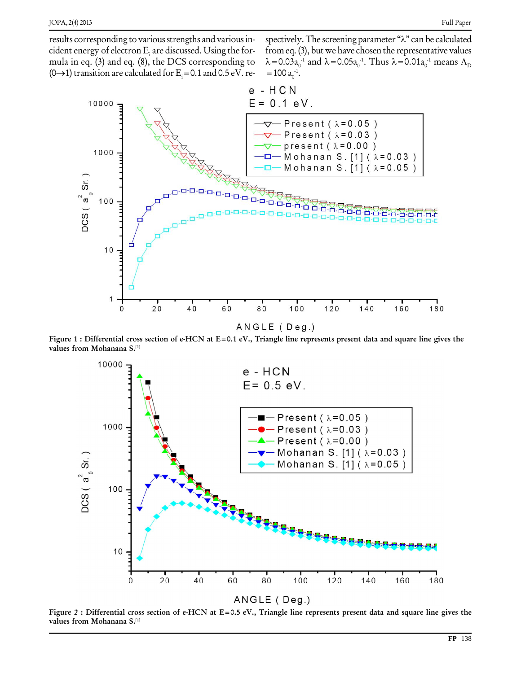results corresponding to various strengths and various incident energy of electron E<sub>i</sub> are discussed. Using the for-<br>mula in eq. (3) and eq. (8), the DCS corresponding to  $\lambda = 0.03$ <br>(0->1) transition are calculated for E<sub>i</sub> = 0.1 and 0.5 eV. re- = 100 a

Full Paper<br>spectively. The screening parameter " $\lambda$ " can be calculated from eq.  $(3)$ , but we have chosen the representative values bectively. The screening parameter " $\lambda$ " can be calcus com eq. (3), but we have chosen the representative v<br>=0.03a<sub>0</sub><sup>-1</sup> and  $\lambda$  =0.05a<sub>0</sub><sup>-1</sup>. Thus  $\lambda$  =0.01a<sub>0</sub><sup>-1</sup> mean spectively. The screening parameter " $\lambda$ " can be calculated<br>from eq. (3), but we have chosen the representative values<br> $\lambda$  = 0.03 $a_0^{-1}$  and  $\lambda$  = 0.05 $a_0^{-1}$ . Thus  $\lambda$  = 0.01 $a_0^{-1}$  means  $\Lambda_D$ <br>= 100  $a_0^{-1}$ .  $\circ$ <sup>-1</sup>.



Figure 1 : Differential cross section of e-HCN at  $E = 0.1$  eV., Triangle line represents present data and square line gives the **values from Mohanana S. [1]**



Figure 2 : Differential cross section of e-HCN at  $E=0.5$  eV., Triangle line represents present data and square line gives the **values from Mohanana S. [1]**